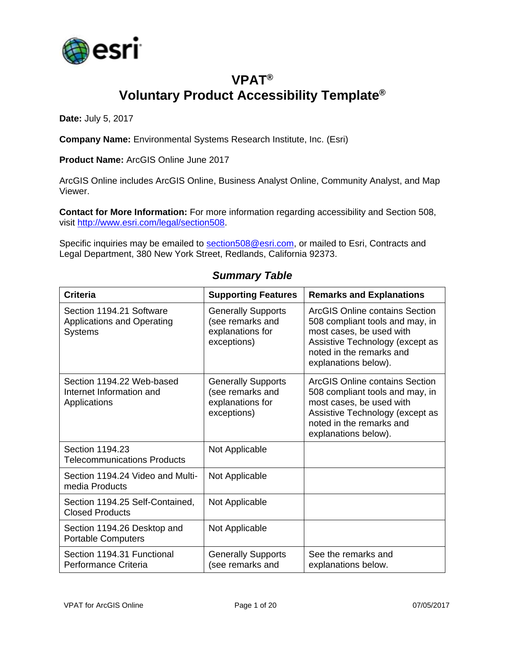

## **VPAT® Voluntary Product Accessibility Template®**

**Date:** July 5, 2017

**Company Name:** Environmental Systems Research Institute, Inc. (Esri)

**Product Name:** ArcGIS Online June 2017

ArcGIS Online includes ArcGIS Online, Business Analyst Online, Community Analyst, and Map Viewer.

**Contact for More Information:** For more information regarding accessibility and Section 508, visit [http://www.esri.com/legal/section508.](http://www.esri.com/legal/section508)

Specific inquiries may be emailed to [section508@esri.com,](mailto:section508@esri.com) or mailed to Esri, Contracts and Legal Department, 380 New York Street, Redlands, California 92373.

| <b>Criteria</b>                                                                 | <b>Supporting Features</b>                                                       | <b>Remarks and Explanations</b>                                                                                                                                                             |
|---------------------------------------------------------------------------------|----------------------------------------------------------------------------------|---------------------------------------------------------------------------------------------------------------------------------------------------------------------------------------------|
| Section 1194.21 Software<br><b>Applications and Operating</b><br><b>Systems</b> | <b>Generally Supports</b><br>(see remarks and<br>explanations for<br>exceptions) | ArcGIS Online contains Section<br>508 compliant tools and may, in<br>most cases, be used with<br>Assistive Technology (except as<br>noted in the remarks and<br>explanations below).        |
| Section 1194.22 Web-based<br>Internet Information and<br>Applications           | <b>Generally Supports</b><br>(see remarks and<br>explanations for<br>exceptions) | <b>ArcGIS Online contains Section</b><br>508 compliant tools and may, in<br>most cases, be used with<br>Assistive Technology (except as<br>noted in the remarks and<br>explanations below). |
| Section 1194.23<br><b>Telecommunications Products</b>                           | Not Applicable                                                                   |                                                                                                                                                                                             |
| Section 1194.24 Video and Multi-<br>media Products                              | Not Applicable                                                                   |                                                                                                                                                                                             |
| Section 1194.25 Self-Contained,<br><b>Closed Products</b>                       | Not Applicable                                                                   |                                                                                                                                                                                             |
| Section 1194.26 Desktop and<br><b>Portable Computers</b>                        | Not Applicable                                                                   |                                                                                                                                                                                             |
| Section 1194.31 Functional<br>Performance Criteria                              | <b>Generally Supports</b><br>(see remarks and                                    | See the remarks and<br>explanations below.                                                                                                                                                  |

#### *Summary Table*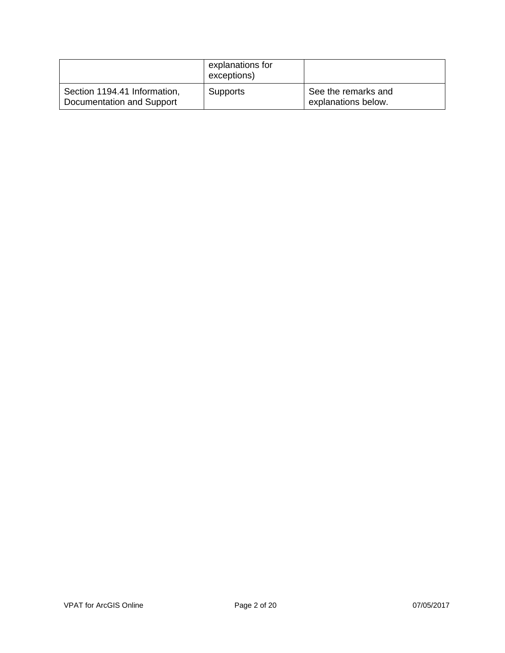|                                                           | explanations for<br>exceptions) |                                            |
|-----------------------------------------------------------|---------------------------------|--------------------------------------------|
| Section 1194.41 Information,<br>Documentation and Support | <b>Supports</b>                 | See the remarks and<br>explanations below. |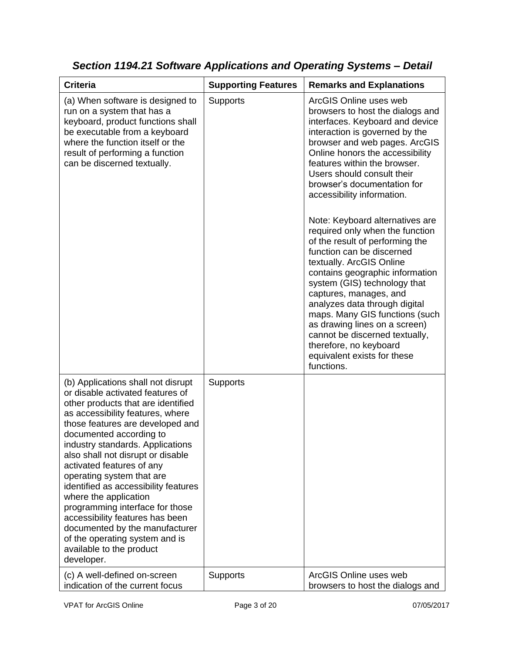| <b>Criteria</b>                                                                                                                                                                                                                                                                                                                                                                                                                                                                                                                                                                                         | <b>Supporting Features</b> | <b>Remarks and Explanations</b>                                                                                                                                                                                                                                                                                                                                                                                                                                                                                                                                                                                                                                                                                                                                                                            |
|---------------------------------------------------------------------------------------------------------------------------------------------------------------------------------------------------------------------------------------------------------------------------------------------------------------------------------------------------------------------------------------------------------------------------------------------------------------------------------------------------------------------------------------------------------------------------------------------------------|----------------------------|------------------------------------------------------------------------------------------------------------------------------------------------------------------------------------------------------------------------------------------------------------------------------------------------------------------------------------------------------------------------------------------------------------------------------------------------------------------------------------------------------------------------------------------------------------------------------------------------------------------------------------------------------------------------------------------------------------------------------------------------------------------------------------------------------------|
| (a) When software is designed to<br>run on a system that has a<br>keyboard, product functions shall<br>be executable from a keyboard<br>where the function itself or the<br>result of performing a function<br>can be discerned textually.                                                                                                                                                                                                                                                                                                                                                              | Supports                   | ArcGIS Online uses web<br>browsers to host the dialogs and<br>interfaces. Keyboard and device<br>interaction is governed by the<br>browser and web pages. ArcGIS<br>Online honors the accessibility<br>features within the browser.<br>Users should consult their<br>browser's documentation for<br>accessibility information.<br>Note: Keyboard alternatives are<br>required only when the function<br>of the result of performing the<br>function can be discerned<br>textually. ArcGIS Online<br>contains geographic information<br>system (GIS) technology that<br>captures, manages, and<br>analyzes data through digital<br>maps. Many GIS functions (such<br>as drawing lines on a screen)<br>cannot be discerned textually,<br>therefore, no keyboard<br>equivalent exists for these<br>functions. |
| (b) Applications shall not disrupt<br>or disable activated features of<br>other products that are identified<br>as accessibility features, where<br>those features are developed and<br>documented according to<br>industry standards. Applications<br>also shall not disrupt or disable<br>activated features of any<br>operating system that are<br>identified as accessibility features<br>where the application<br>programming interface for those<br>accessibility features has been<br>documented by the manufacturer<br>of the operating system and is<br>available to the product<br>developer. | Supports                   |                                                                                                                                                                                                                                                                                                                                                                                                                                                                                                                                                                                                                                                                                                                                                                                                            |
| (c) A well-defined on-screen<br>indication of the current focus                                                                                                                                                                                                                                                                                                                                                                                                                                                                                                                                         | Supports                   | ArcGIS Online uses web<br>browsers to host the dialogs and                                                                                                                                                                                                                                                                                                                                                                                                                                                                                                                                                                                                                                                                                                                                                 |

*Section 1194.21 Software Applications and Operating Systems – Detail*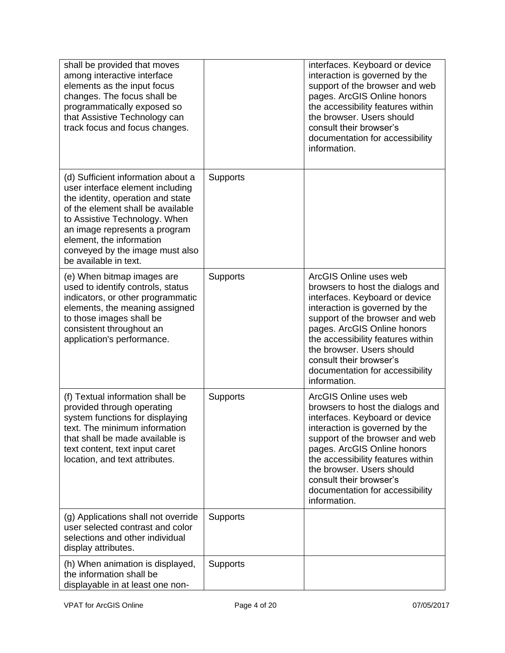| shall be provided that moves<br>among interactive interface<br>elements as the input focus<br>changes. The focus shall be<br>programmatically exposed so<br>that Assistive Technology can<br>track focus and focus changes.                                                                                |                 | interfaces. Keyboard or device<br>interaction is governed by the<br>support of the browser and web<br>pages. ArcGIS Online honors<br>the accessibility features within<br>the browser. Users should<br>consult their browser's<br>documentation for accessibility<br>information.                                                               |
|------------------------------------------------------------------------------------------------------------------------------------------------------------------------------------------------------------------------------------------------------------------------------------------------------------|-----------------|-------------------------------------------------------------------------------------------------------------------------------------------------------------------------------------------------------------------------------------------------------------------------------------------------------------------------------------------------|
| (d) Sufficient information about a<br>user interface element including<br>the identity, operation and state<br>of the element shall be available<br>to Assistive Technology. When<br>an image represents a program<br>element, the information<br>conveyed by the image must also<br>be available in text. | <b>Supports</b> |                                                                                                                                                                                                                                                                                                                                                 |
| (e) When bitmap images are<br>used to identify controls, status<br>indicators, or other programmatic<br>elements, the meaning assigned<br>to those images shall be<br>consistent throughout an<br>application's performance.                                                                               | Supports        | ArcGIS Online uses web<br>browsers to host the dialogs and<br>interfaces. Keyboard or device<br>interaction is governed by the<br>support of the browser and web<br>pages. ArcGIS Online honors<br>the accessibility features within<br>the browser. Users should<br>consult their browser's<br>documentation for accessibility<br>information. |
| (f) Textual information shall be<br>provided through operating<br>system functions for displaying<br>text. The minimum information<br>that shall be made available is<br>text content, text input caret<br>location, and text attributes.                                                                  | <b>Supports</b> | ArcGIS Online uses web<br>browsers to host the dialogs and<br>interfaces. Keyboard or device<br>interaction is governed by the<br>support of the browser and web<br>pages. ArcGIS Online honors<br>the accessibility features within<br>the browser. Users should<br>consult their browser's<br>documentation for accessibility<br>information. |
| (g) Applications shall not override<br>user selected contrast and color<br>selections and other individual<br>display attributes.                                                                                                                                                                          | Supports        |                                                                                                                                                                                                                                                                                                                                                 |
| (h) When animation is displayed,<br>the information shall be<br>displayable in at least one non-                                                                                                                                                                                                           | <b>Supports</b> |                                                                                                                                                                                                                                                                                                                                                 |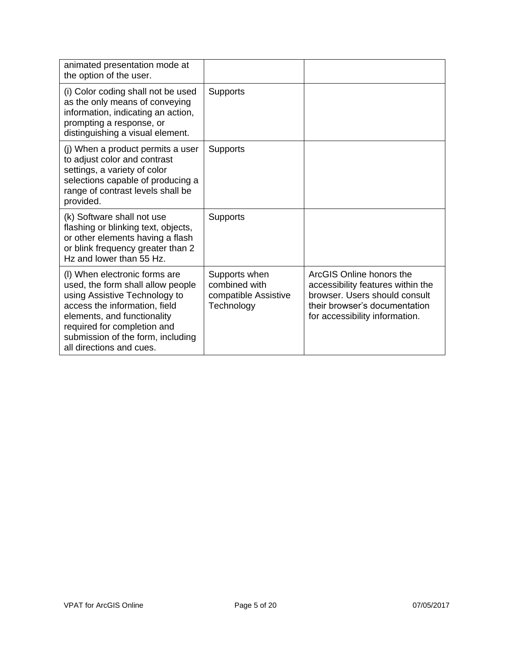| animated presentation mode at<br>the option of the user.                                                                                                                                                                                                            |                                                                      |                                                                                                                                                                   |
|---------------------------------------------------------------------------------------------------------------------------------------------------------------------------------------------------------------------------------------------------------------------|----------------------------------------------------------------------|-------------------------------------------------------------------------------------------------------------------------------------------------------------------|
| (i) Color coding shall not be used<br>as the only means of conveying<br>information, indicating an action,<br>prompting a response, or<br>distinguishing a visual element.                                                                                          | <b>Supports</b>                                                      |                                                                                                                                                                   |
| (j) When a product permits a user<br>to adjust color and contrast<br>settings, a variety of color<br>selections capable of producing a<br>range of contrast levels shall be<br>provided.                                                                            | <b>Supports</b>                                                      |                                                                                                                                                                   |
| (k) Software shall not use<br>flashing or blinking text, objects,<br>or other elements having a flash<br>or blink frequency greater than 2<br>Hz and lower than 55 Hz.                                                                                              | <b>Supports</b>                                                      |                                                                                                                                                                   |
| (I) When electronic forms are<br>used, the form shall allow people<br>using Assistive Technology to<br>access the information, field<br>elements, and functionality<br>required for completion and<br>submission of the form, including<br>all directions and cues. | Supports when<br>combined with<br>compatible Assistive<br>Technology | ArcGIS Online honors the<br>accessibility features within the<br>browser. Users should consult<br>their browser's documentation<br>for accessibility information. |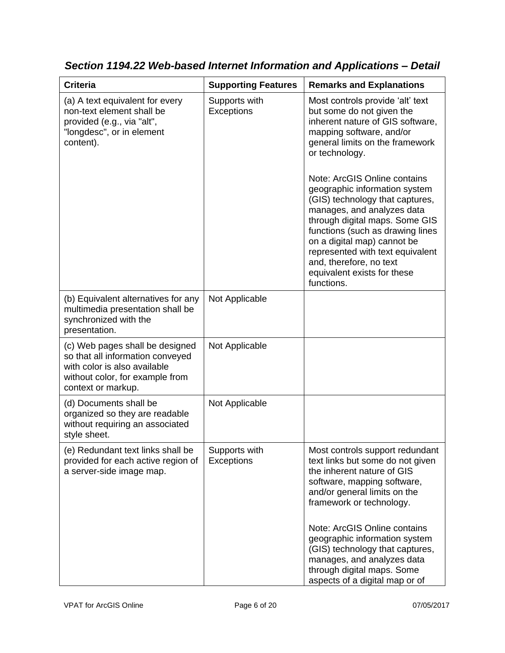| <b>Criteria</b>                                                                                                                                              | <b>Supporting Features</b>  | <b>Remarks and Explanations</b>                                                                                                                                                                                                                                                                                                                                                                                                                                                                                                       |
|--------------------------------------------------------------------------------------------------------------------------------------------------------------|-----------------------------|---------------------------------------------------------------------------------------------------------------------------------------------------------------------------------------------------------------------------------------------------------------------------------------------------------------------------------------------------------------------------------------------------------------------------------------------------------------------------------------------------------------------------------------|
| (a) A text equivalent for every<br>non-text element shall be<br>provided (e.g., via "alt",<br>"longdesc", or in element<br>content).                         | Supports with<br>Exceptions | Most controls provide 'alt' text<br>but some do not given the<br>inherent nature of GIS software,<br>mapping software, and/or<br>general limits on the framework<br>or technology.<br>Note: ArcGIS Online contains<br>geographic information system<br>(GIS) technology that captures,<br>manages, and analyzes data<br>through digital maps. Some GIS<br>functions (such as drawing lines<br>on a digital map) cannot be<br>represented with text equivalent<br>and, therefore, no text<br>equivalent exists for these<br>functions. |
| (b) Equivalent alternatives for any<br>multimedia presentation shall be<br>synchronized with the<br>presentation.                                            | Not Applicable              |                                                                                                                                                                                                                                                                                                                                                                                                                                                                                                                                       |
| (c) Web pages shall be designed<br>so that all information conveyed<br>with color is also available<br>without color, for example from<br>context or markup. | Not Applicable              |                                                                                                                                                                                                                                                                                                                                                                                                                                                                                                                                       |
| (d) Documents shall be<br>organized so they are readable<br>without requiring an associated<br>style sheet.                                                  | Not Applicable              |                                                                                                                                                                                                                                                                                                                                                                                                                                                                                                                                       |
| (e) Redundant text links shall be<br>provided for each active region of<br>a server-side image map.                                                          | Supports with<br>Exceptions | Most controls support redundant<br>text links but some do not given<br>the inherent nature of GIS<br>software, mapping software,<br>and/or general limits on the<br>framework or technology.<br>Note: ArcGIS Online contains                                                                                                                                                                                                                                                                                                          |
|                                                                                                                                                              |                             | geographic information system<br>(GIS) technology that captures,<br>manages, and analyzes data<br>through digital maps. Some<br>aspects of a digital map or of                                                                                                                                                                                                                                                                                                                                                                        |

*Section 1194.22 Web-based Internet Information and Applications – Detail*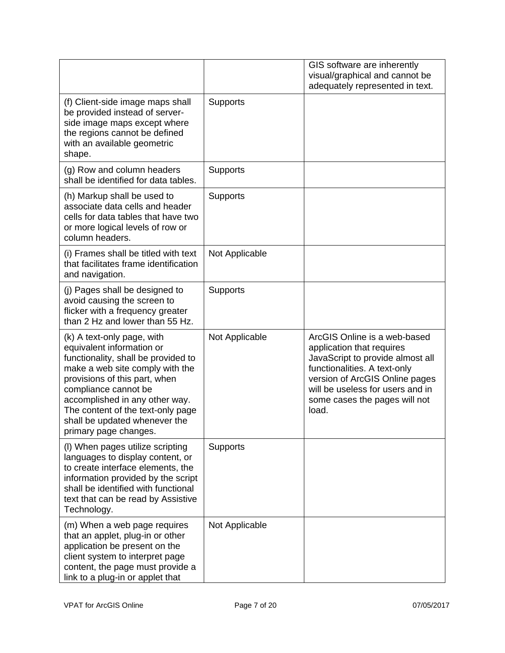|                                                                                                                                                                                                                                                                                                                             |                 | GIS software are inherently<br>visual/graphical and cannot be<br>adequately represented in text.                                                                                                                                              |
|-----------------------------------------------------------------------------------------------------------------------------------------------------------------------------------------------------------------------------------------------------------------------------------------------------------------------------|-----------------|-----------------------------------------------------------------------------------------------------------------------------------------------------------------------------------------------------------------------------------------------|
| (f) Client-side image maps shall<br>be provided instead of server-<br>side image maps except where<br>the regions cannot be defined<br>with an available geometric<br>shape.                                                                                                                                                | <b>Supports</b> |                                                                                                                                                                                                                                               |
| (g) Row and column headers<br>shall be identified for data tables.                                                                                                                                                                                                                                                          | <b>Supports</b> |                                                                                                                                                                                                                                               |
| (h) Markup shall be used to<br>associate data cells and header<br>cells for data tables that have two<br>or more logical levels of row or<br>column headers.                                                                                                                                                                | Supports        |                                                                                                                                                                                                                                               |
| (i) Frames shall be titled with text<br>that facilitates frame identification<br>and navigation.                                                                                                                                                                                                                            | Not Applicable  |                                                                                                                                                                                                                                               |
| (j) Pages shall be designed to<br>avoid causing the screen to<br>flicker with a frequency greater<br>than 2 Hz and lower than 55 Hz.                                                                                                                                                                                        | Supports        |                                                                                                                                                                                                                                               |
| (k) A text-only page, with<br>equivalent information or<br>functionality, shall be provided to<br>make a web site comply with the<br>provisions of this part, when<br>compliance cannot be<br>accomplished in any other way.<br>The content of the text-only page<br>shall be updated whenever the<br>primary page changes. | Not Applicable  | ArcGIS Online is a web-based<br>application that requires<br>JavaScript to provide almost all<br>functionalities. A text-only<br>version of ArcGIS Online pages<br>will be useless for users and in<br>some cases the pages will not<br>load. |
| (I) When pages utilize scripting<br>languages to display content, or<br>to create interface elements, the<br>information provided by the script<br>shall be identified with functional<br>text that can be read by Assistive<br>Technology.                                                                                 | <b>Supports</b> |                                                                                                                                                                                                                                               |
| (m) When a web page requires<br>that an applet, plug-in or other<br>application be present on the<br>client system to interpret page<br>content, the page must provide a<br>link to a plug-in or applet that                                                                                                                | Not Applicable  |                                                                                                                                                                                                                                               |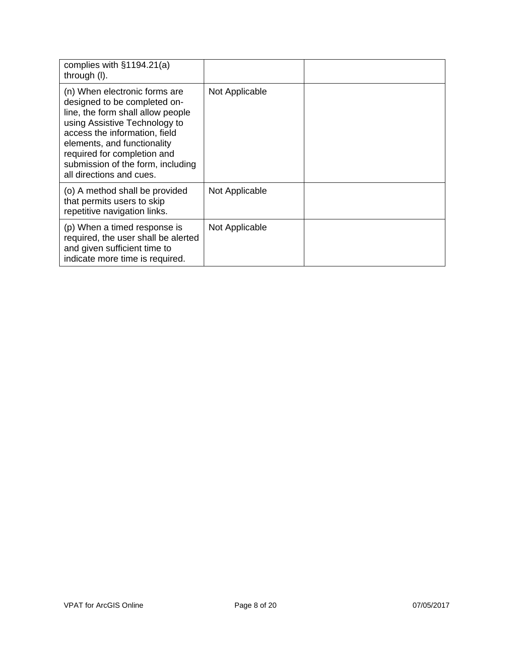| complies with $§1194.21(a)$<br>through (I).                                                                                                                                                                                                                                                         |                |  |
|-----------------------------------------------------------------------------------------------------------------------------------------------------------------------------------------------------------------------------------------------------------------------------------------------------|----------------|--|
| (n) When electronic forms are<br>designed to be completed on-<br>line, the form shall allow people<br>using Assistive Technology to<br>access the information, field<br>elements, and functionality<br>required for completion and<br>submission of the form, including<br>all directions and cues. | Not Applicable |  |
| (o) A method shall be provided<br>that permits users to skip<br>repetitive navigation links.                                                                                                                                                                                                        | Not Applicable |  |
| (p) When a timed response is<br>required, the user shall be alerted<br>and given sufficient time to<br>indicate more time is required.                                                                                                                                                              | Not Applicable |  |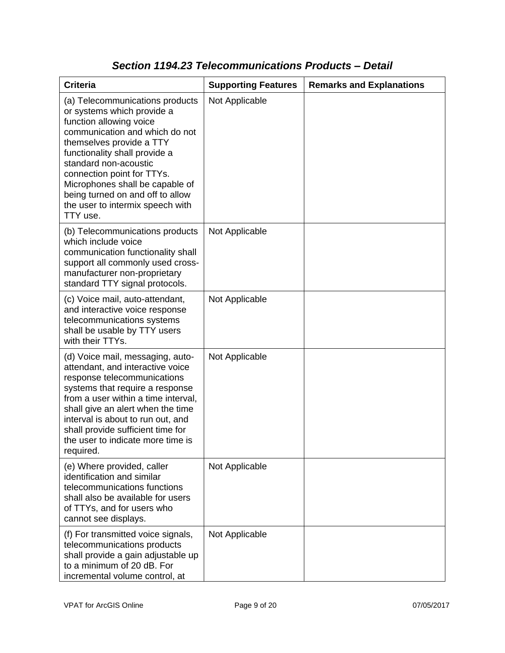| <b>Criteria</b>                                                                                                                                                                                                                                                                                                                                                       | <b>Supporting Features</b> | <b>Remarks and Explanations</b> |
|-----------------------------------------------------------------------------------------------------------------------------------------------------------------------------------------------------------------------------------------------------------------------------------------------------------------------------------------------------------------------|----------------------------|---------------------------------|
| (a) Telecommunications products<br>or systems which provide a<br>function allowing voice<br>communication and which do not<br>themselves provide a TTY<br>functionality shall provide a<br>standard non-acoustic<br>connection point for TTYs.<br>Microphones shall be capable of<br>being turned on and off to allow<br>the user to intermix speech with<br>TTY use. | Not Applicable             |                                 |
| (b) Telecommunications products<br>which include voice<br>communication functionality shall<br>support all commonly used cross-<br>manufacturer non-proprietary<br>standard TTY signal protocols.                                                                                                                                                                     | Not Applicable             |                                 |
| (c) Voice mail, auto-attendant,<br>and interactive voice response<br>telecommunications systems<br>shall be usable by TTY users<br>with their TTYs.                                                                                                                                                                                                                   | Not Applicable             |                                 |
| (d) Voice mail, messaging, auto-<br>attendant, and interactive voice<br>response telecommunications<br>systems that require a response<br>from a user within a time interval,<br>shall give an alert when the time<br>interval is about to run out, and<br>shall provide sufficient time for<br>the user to indicate more time is<br>required.                        | Not Applicable             |                                 |
| (e) Where provided, caller<br>identification and similar<br>telecommunications functions<br>shall also be available for users<br>of TTYs, and for users who<br>cannot see displays.                                                                                                                                                                                   | Not Applicable             |                                 |
| (f) For transmitted voice signals,<br>telecommunications products<br>shall provide a gain adjustable up<br>to a minimum of 20 dB. For<br>incremental volume control, at                                                                                                                                                                                               | Not Applicable             |                                 |

### *Section 1194.23 Telecommunications Products – Detail*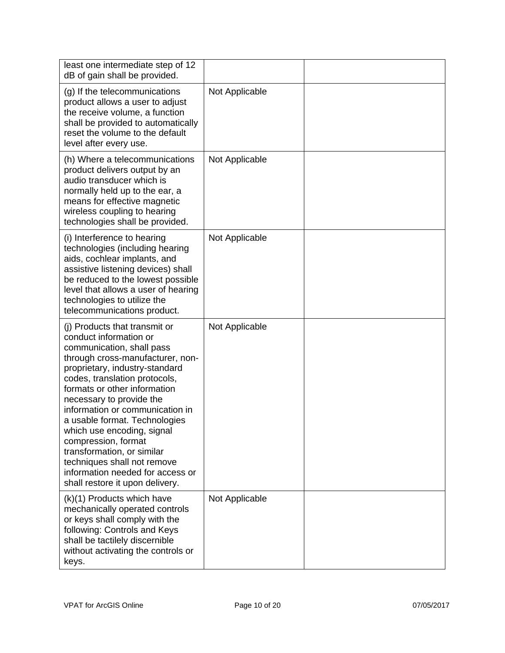| least one intermediate step of 12<br>dB of gain shall be provided.                                                                                                                                                                                                                                                                                                                                                                                                                                                   |                |            |
|----------------------------------------------------------------------------------------------------------------------------------------------------------------------------------------------------------------------------------------------------------------------------------------------------------------------------------------------------------------------------------------------------------------------------------------------------------------------------------------------------------------------|----------------|------------|
| (g) If the telecommunications<br>product allows a user to adjust<br>the receive volume, a function<br>shall be provided to automatically<br>reset the volume to the default<br>level after every use.                                                                                                                                                                                                                                                                                                                | Not Applicable |            |
| (h) Where a telecommunications<br>product delivers output by an<br>audio transducer which is<br>normally held up to the ear, a<br>means for effective magnetic<br>wireless coupling to hearing<br>technologies shall be provided.                                                                                                                                                                                                                                                                                    | Not Applicable |            |
| (i) Interference to hearing<br>technologies (including hearing<br>aids, cochlear implants, and<br>assistive listening devices) shall<br>be reduced to the lowest possible<br>level that allows a user of hearing<br>technologies to utilize the<br>telecommunications product.                                                                                                                                                                                                                                       | Not Applicable |            |
| (i) Products that transmit or<br>conduct information or<br>communication, shall pass<br>through cross-manufacturer, non-<br>proprietary, industry-standard<br>codes, translation protocols,<br>formats or other information<br>necessary to provide the<br>information or communication in<br>a usable format. Technologies<br>which use encoding, signal<br>compression, format<br>transformation, or similar<br>techniques shall not remove<br>information needed for access or<br>shall restore it upon delivery. | Not Applicable |            |
| (k)(1) Products which have<br>mechanically operated controls<br>or keys shall comply with the<br>following: Controls and Keys<br>shall be tactilely discernible<br>without activating the controls or<br>keys.                                                                                                                                                                                                                                                                                                       | Not Applicable |            |
|                                                                                                                                                                                                                                                                                                                                                                                                                                                                                                                      |                |            |
| <b>VPAT</b> for ArcGIS Online                                                                                                                                                                                                                                                                                                                                                                                                                                                                                        | Page 10 of 20  | 07/05/2017 |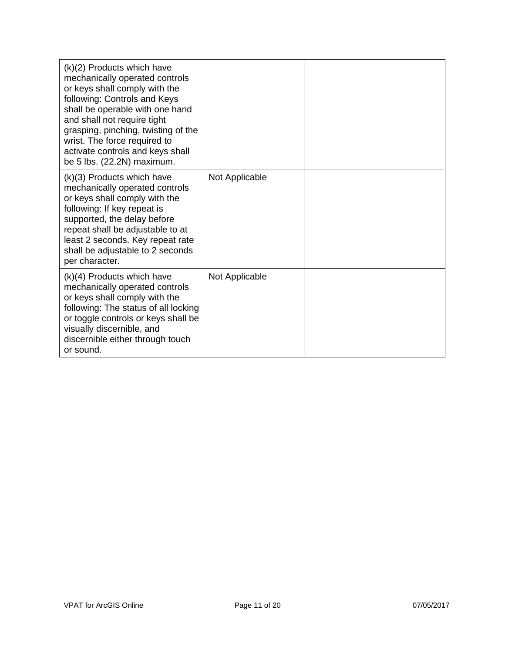| $(k)(2)$ Products which have<br>mechanically operated controls<br>or keys shall comply with the<br>following: Controls and Keys<br>shall be operable with one hand<br>and shall not require tight<br>grasping, pinching, twisting of the<br>wrist. The force required to<br>activate controls and keys shall<br>be 5 lbs. (22.2N) maximum. |                |  |
|--------------------------------------------------------------------------------------------------------------------------------------------------------------------------------------------------------------------------------------------------------------------------------------------------------------------------------------------|----------------|--|
| $(k)(3)$ Products which have<br>mechanically operated controls<br>or keys shall comply with the<br>following: If key repeat is<br>supported, the delay before<br>repeat shall be adjustable to at<br>least 2 seconds. Key repeat rate<br>shall be adjustable to 2 seconds<br>per character.                                                | Not Applicable |  |
| $(k)(4)$ Products which have<br>mechanically operated controls<br>or keys shall comply with the<br>following: The status of all locking<br>or toggle controls or keys shall be<br>visually discernible, and<br>discernible either through touch<br>or sound.                                                                               | Not Applicable |  |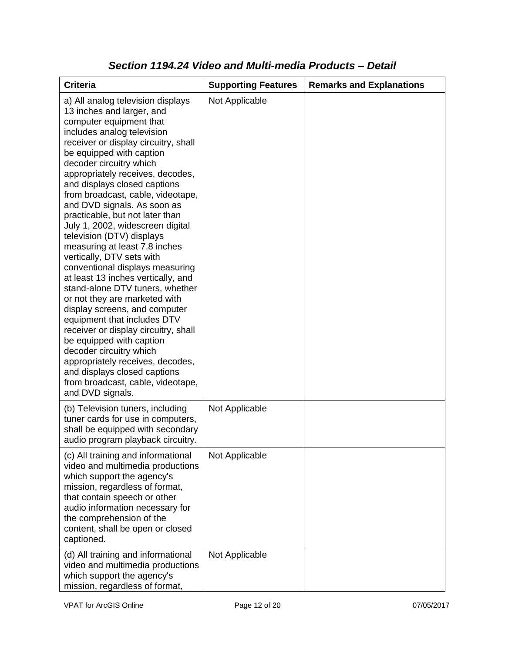| <b>Criteria</b>                                                                                                                                                                                                                                                                                                                                                                                                                                                                                                                                                                                                                                                                                                                                                                                                                                                                                                                                                           | <b>Supporting Features</b> | <b>Remarks and Explanations</b> |
|---------------------------------------------------------------------------------------------------------------------------------------------------------------------------------------------------------------------------------------------------------------------------------------------------------------------------------------------------------------------------------------------------------------------------------------------------------------------------------------------------------------------------------------------------------------------------------------------------------------------------------------------------------------------------------------------------------------------------------------------------------------------------------------------------------------------------------------------------------------------------------------------------------------------------------------------------------------------------|----------------------------|---------------------------------|
| a) All analog television displays<br>13 inches and larger, and<br>computer equipment that<br>includes analog television<br>receiver or display circuitry, shall<br>be equipped with caption<br>decoder circuitry which<br>appropriately receives, decodes,<br>and displays closed captions<br>from broadcast, cable, videotape,<br>and DVD signals. As soon as<br>practicable, but not later than<br>July 1, 2002, widescreen digital<br>television (DTV) displays<br>measuring at least 7.8 inches<br>vertically, DTV sets with<br>conventional displays measuring<br>at least 13 inches vertically, and<br>stand-alone DTV tuners, whether<br>or not they are marketed with<br>display screens, and computer<br>equipment that includes DTV<br>receiver or display circuitry, shall<br>be equipped with caption<br>decoder circuitry which<br>appropriately receives, decodes,<br>and displays closed captions<br>from broadcast, cable, videotape,<br>and DVD signals. | Not Applicable             |                                 |
| (b) Television tuners, including<br>tuner cards for use in computers,<br>shall be equipped with secondary<br>audio program playback circuitry.                                                                                                                                                                                                                                                                                                                                                                                                                                                                                                                                                                                                                                                                                                                                                                                                                            | Not Applicable             |                                 |
| (c) All training and informational<br>video and multimedia productions<br>which support the agency's<br>mission, regardless of format,<br>that contain speech or other<br>audio information necessary for<br>the comprehension of the<br>content, shall be open or closed<br>captioned.                                                                                                                                                                                                                                                                                                                                                                                                                                                                                                                                                                                                                                                                                   | Not Applicable             |                                 |
| (d) All training and informational<br>video and multimedia productions<br>which support the agency's<br>mission, regardless of format,                                                                                                                                                                                                                                                                                                                                                                                                                                                                                                                                                                                                                                                                                                                                                                                                                                    | Not Applicable             |                                 |

### *Section 1194.24 Video and Multi-media Products – Detail*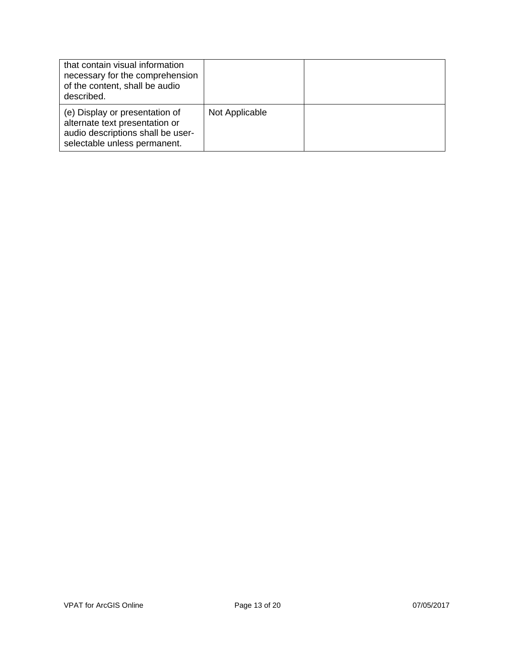| that contain visual information<br>necessary for the comprehension<br>of the content, shall be audio<br>described.                    |                |  |
|---------------------------------------------------------------------------------------------------------------------------------------|----------------|--|
| (e) Display or presentation of<br>alternate text presentation or<br>audio descriptions shall be user-<br>selectable unless permanent. | Not Applicable |  |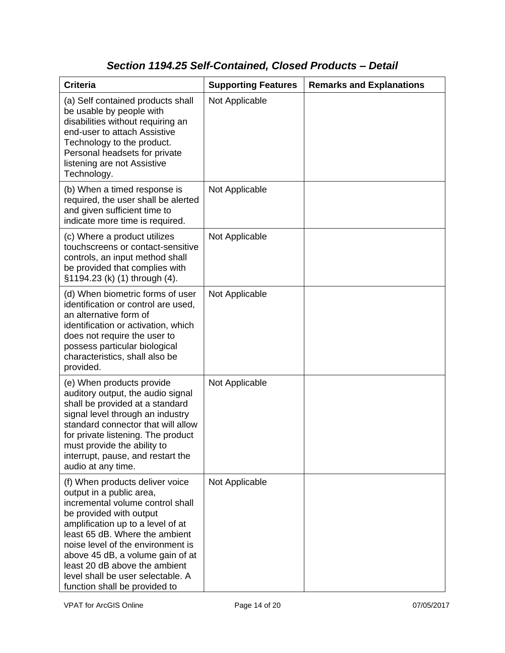# *Section 1194.25 Self-Contained, Closed Products – Detail*

| <b>Criteria</b>                                                                                                                                                                                                                                                                                                                                                                   | <b>Supporting Features</b> | <b>Remarks and Explanations</b> |
|-----------------------------------------------------------------------------------------------------------------------------------------------------------------------------------------------------------------------------------------------------------------------------------------------------------------------------------------------------------------------------------|----------------------------|---------------------------------|
| (a) Self contained products shall<br>be usable by people with<br>disabilities without requiring an<br>end-user to attach Assistive<br>Technology to the product.<br>Personal headsets for private<br>listening are not Assistive<br>Technology.                                                                                                                                   | Not Applicable             |                                 |
| (b) When a timed response is<br>required, the user shall be alerted<br>and given sufficient time to<br>indicate more time is required.                                                                                                                                                                                                                                            | Not Applicable             |                                 |
| (c) Where a product utilizes<br>touchscreens or contact-sensitive<br>controls, an input method shall<br>be provided that complies with<br>§1194.23 (k) (1) through (4).                                                                                                                                                                                                           | Not Applicable             |                                 |
| (d) When biometric forms of user<br>identification or control are used,<br>an alternative form of<br>identification or activation, which<br>does not require the user to<br>possess particular biological<br>characteristics, shall also be<br>provided.                                                                                                                          | Not Applicable             |                                 |
| (e) When products provide<br>auditory output, the audio signal<br>shall be provided at a standard<br>signal level through an industry<br>standard connector that will allow<br>for private listening. The product<br>must provide the ability to<br>interrupt, pause, and restart the<br>audio at any time.                                                                       | Not Applicable             |                                 |
| (f) When products deliver voice<br>output in a public area,<br>incremental volume control shall<br>be provided with output<br>amplification up to a level of at<br>least 65 dB. Where the ambient<br>noise level of the environment is<br>above 45 dB, a volume gain of at<br>least 20 dB above the ambient<br>level shall be user selectable. A<br>function shall be provided to | Not Applicable             |                                 |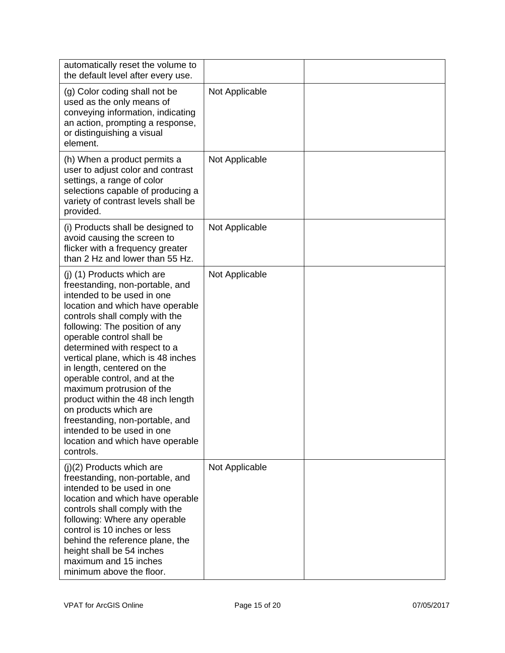| automatically reset the volume to<br>the default level after every use.                                                                                                                                                                                                                                                                                                                                                                                                                                                                                                           |                |  |
|-----------------------------------------------------------------------------------------------------------------------------------------------------------------------------------------------------------------------------------------------------------------------------------------------------------------------------------------------------------------------------------------------------------------------------------------------------------------------------------------------------------------------------------------------------------------------------------|----------------|--|
| (g) Color coding shall not be<br>used as the only means of<br>conveying information, indicating<br>an action, prompting a response,<br>or distinguishing a visual<br>element.                                                                                                                                                                                                                                                                                                                                                                                                     | Not Applicable |  |
| (h) When a product permits a<br>user to adjust color and contrast<br>settings, a range of color<br>selections capable of producing a<br>variety of contrast levels shall be<br>provided.                                                                                                                                                                                                                                                                                                                                                                                          | Not Applicable |  |
| (i) Products shall be designed to<br>avoid causing the screen to<br>flicker with a frequency greater<br>than 2 Hz and lower than 55 Hz.                                                                                                                                                                                                                                                                                                                                                                                                                                           | Not Applicable |  |
| (j) (1) Products which are<br>freestanding, non-portable, and<br>intended to be used in one<br>location and which have operable<br>controls shall comply with the<br>following: The position of any<br>operable control shall be<br>determined with respect to a<br>vertical plane, which is 48 inches<br>in length, centered on the<br>operable control, and at the<br>maximum protrusion of the<br>product within the 48 inch length<br>on products which are<br>freestanding, non-portable, and<br>intended to be used in one<br>location and which have operable<br>controls. | Not Applicable |  |
| $(i)(2)$ Products which are<br>freestanding, non-portable, and<br>intended to be used in one<br>location and which have operable<br>controls shall comply with the<br>following: Where any operable<br>control is 10 inches or less<br>behind the reference plane, the<br>height shall be 54 inches<br>maximum and 15 inches<br>minimum above the floor.                                                                                                                                                                                                                          | Not Applicable |  |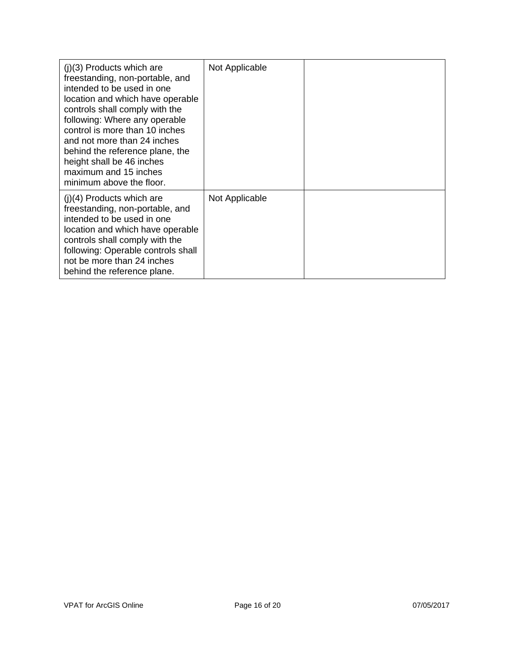| $(i)(3)$ Products which are<br>freestanding, non-portable, and<br>intended to be used in one<br>location and which have operable<br>controls shall comply with the<br>following: Where any operable<br>control is more than 10 inches<br>and not more than 24 inches<br>behind the reference plane, the<br>height shall be 46 inches<br>maximum and 15 inches<br>minimum above the floor. | Not Applicable |  |
|-------------------------------------------------------------------------------------------------------------------------------------------------------------------------------------------------------------------------------------------------------------------------------------------------------------------------------------------------------------------------------------------|----------------|--|
| $(j)(4)$ Products which are<br>freestanding, non-portable, and<br>intended to be used in one<br>location and which have operable<br>controls shall comply with the<br>following: Operable controls shall<br>not be more than 24 inches<br>behind the reference plane.                                                                                                                     | Not Applicable |  |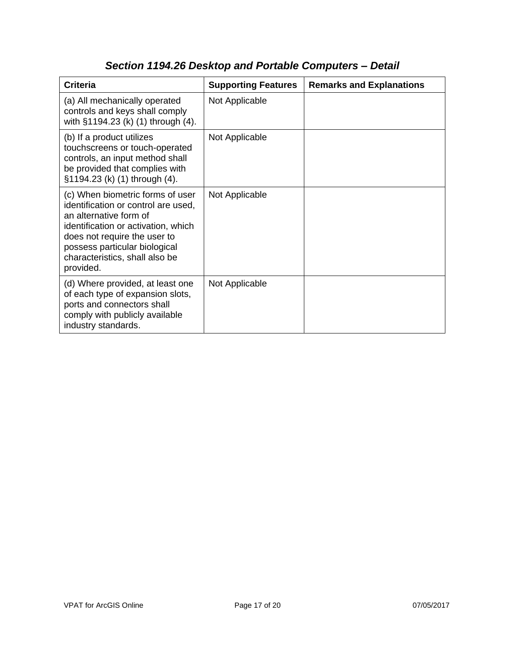| <b>Criteria</b>                                                                                                                                                                                                                                          | <b>Supporting Features</b> | <b>Remarks and Explanations</b> |
|----------------------------------------------------------------------------------------------------------------------------------------------------------------------------------------------------------------------------------------------------------|----------------------------|---------------------------------|
| (a) All mechanically operated<br>controls and keys shall comply<br>with §1194.23 (k) (1) through (4).                                                                                                                                                    | Not Applicable             |                                 |
| (b) If a product utilizes<br>touchscreens or touch-operated<br>controls, an input method shall<br>be provided that complies with<br>§1194.23 (k) (1) through (4).                                                                                        | Not Applicable             |                                 |
| (c) When biometric forms of user<br>identification or control are used,<br>an alternative form of<br>identification or activation, which<br>does not require the user to<br>possess particular biological<br>characteristics, shall also be<br>provided. | Not Applicable             |                                 |
| (d) Where provided, at least one<br>of each type of expansion slots,<br>ports and connectors shall<br>comply with publicly available<br>industry standards.                                                                                              | Not Applicable             |                                 |

# *Section 1194.26 Desktop and Portable Computers – Detail*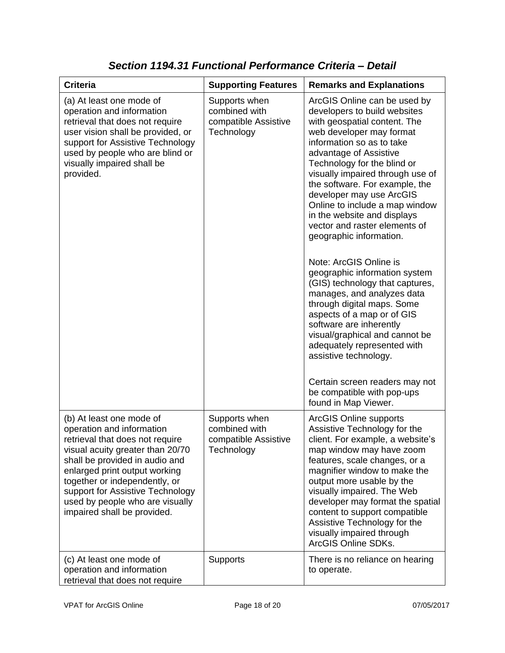| <b>Criteria</b>                                                                                                                                                                                                                                                                                                                        | <b>Supporting Features</b>                                           | <b>Remarks and Explanations</b>                                                                                                                                                                                                                                                                                                                                                                                                                                                                                                                                                                                                                                                                                                                                                                                                                    |
|----------------------------------------------------------------------------------------------------------------------------------------------------------------------------------------------------------------------------------------------------------------------------------------------------------------------------------------|----------------------------------------------------------------------|----------------------------------------------------------------------------------------------------------------------------------------------------------------------------------------------------------------------------------------------------------------------------------------------------------------------------------------------------------------------------------------------------------------------------------------------------------------------------------------------------------------------------------------------------------------------------------------------------------------------------------------------------------------------------------------------------------------------------------------------------------------------------------------------------------------------------------------------------|
| (a) At least one mode of<br>operation and information<br>retrieval that does not require<br>user vision shall be provided, or<br>support for Assistive Technology<br>used by people who are blind or<br>visually impaired shall be<br>provided.                                                                                        | Supports when<br>combined with<br>compatible Assistive<br>Technology | ArcGIS Online can be used by<br>developers to build websites<br>with geospatial content. The<br>web developer may format<br>information so as to take<br>advantage of Assistive<br>Technology for the blind or<br>visually impaired through use of<br>the software. For example, the<br>developer may use ArcGIS<br>Online to include a map window<br>in the website and displays<br>vector and raster elements of<br>geographic information.<br>Note: ArcGIS Online is<br>geographic information system<br>(GIS) technology that captures,<br>manages, and analyzes data<br>through digital maps. Some<br>aspects of a map or of GIS<br>software are inherently<br>visual/graphical and cannot be<br>adequately represented with<br>assistive technology.<br>Certain screen readers may not<br>be compatible with pop-ups<br>found in Map Viewer. |
| (b) At least one mode of<br>operation and information<br>retrieval that does not require<br>visual acuity greater than 20/70<br>shall be provided in audio and<br>enlarged print output working<br>together or independently, or<br>support for Assistive Technology<br>used by people who are visually<br>impaired shall be provided. | Supports when<br>combined with<br>compatible Assistive<br>Technology | <b>ArcGIS Online supports</b><br>Assistive Technology for the<br>client. For example, a website's<br>map window may have zoom<br>features, scale changes, or a<br>magnifier window to make the<br>output more usable by the<br>visually impaired. The Web<br>developer may format the spatial<br>content to support compatible<br>Assistive Technology for the<br>visually impaired through<br>ArcGIS Online SDKs.                                                                                                                                                                                                                                                                                                                                                                                                                                 |
| (c) At least one mode of<br>operation and information<br>retrieval that does not require                                                                                                                                                                                                                                               | Supports                                                             | There is no reliance on hearing<br>to operate.                                                                                                                                                                                                                                                                                                                                                                                                                                                                                                                                                                                                                                                                                                                                                                                                     |

*Section 1194.31 Functional Performance Criteria – Detail*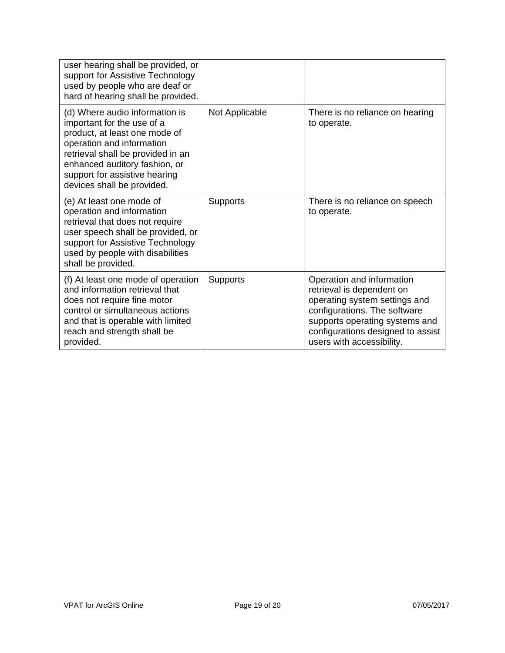| user hearing shall be provided, or<br>support for Assistive Technology<br>used by people who are deaf or<br>hard of hearing shall be provided.                                                                                                                  |                 |                                                                                                                                                                                                                             |
|-----------------------------------------------------------------------------------------------------------------------------------------------------------------------------------------------------------------------------------------------------------------|-----------------|-----------------------------------------------------------------------------------------------------------------------------------------------------------------------------------------------------------------------------|
| (d) Where audio information is<br>important for the use of a<br>product, at least one mode of<br>operation and information<br>retrieval shall be provided in an<br>enhanced auditory fashion, or<br>support for assistive hearing<br>devices shall be provided. | Not Applicable  | There is no reliance on hearing<br>to operate.                                                                                                                                                                              |
| (e) At least one mode of<br>operation and information<br>retrieval that does not require<br>user speech shall be provided, or<br>support for Assistive Technology<br>used by people with disabilities<br>shall be provided.                                     | <b>Supports</b> | There is no reliance on speech<br>to operate.                                                                                                                                                                               |
| (f) At least one mode of operation<br>and information retrieval that<br>does not require fine motor<br>control or simultaneous actions<br>and that is operable with limited<br>reach and strength shall be<br>provided.                                         | Supports        | Operation and information<br>retrieval is dependent on<br>operating system settings and<br>configurations. The software<br>supports operating systems and<br>configurations designed to assist<br>users with accessibility. |